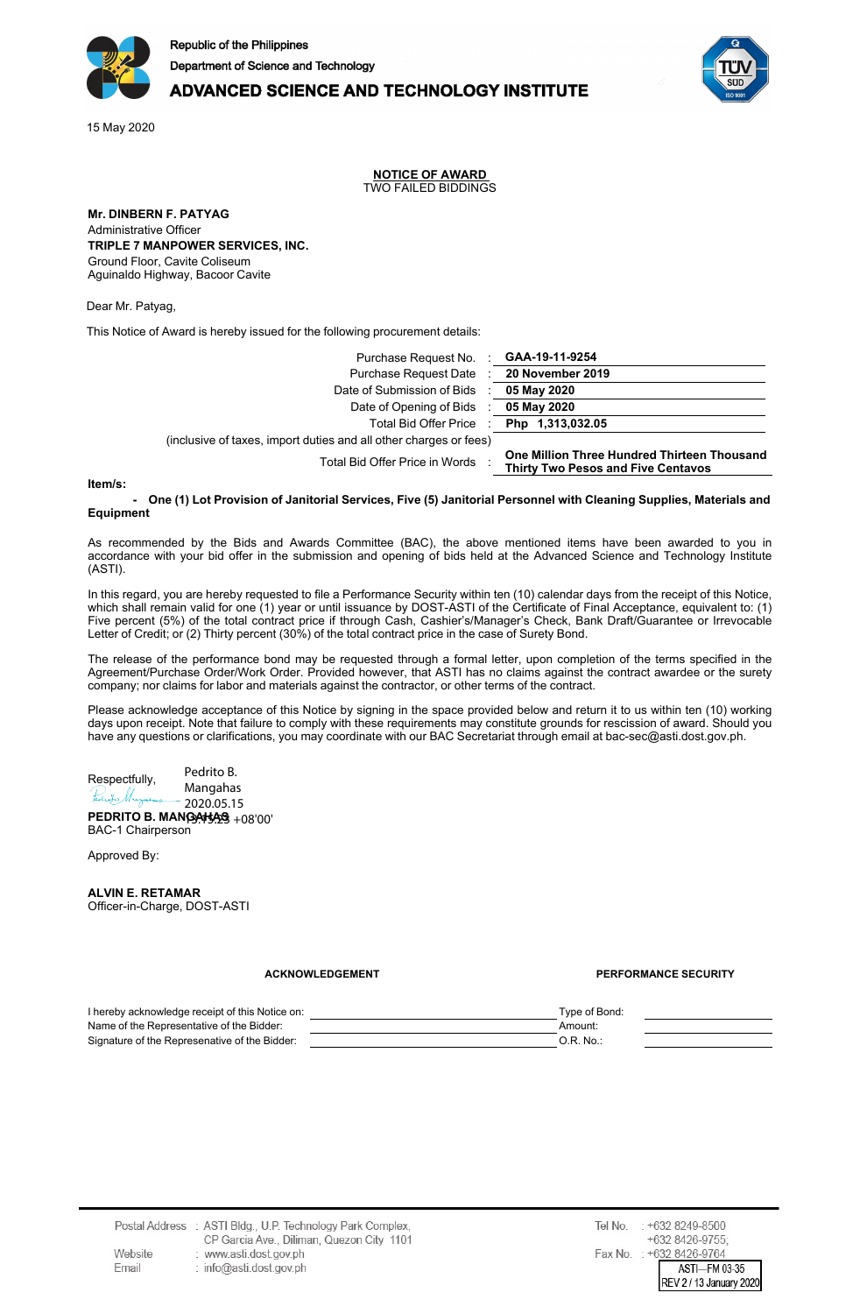

## **ADVANCED SCIENCE AND TECHNOLOGY INSTITUTE**

15 May 2020

**NOTICE OF AWARD** TWO FAILED BIDDINGS

**Mr. DINBERN F. PATYAG** Administrative Officer **TRIPLE 7 MANPOWER SERVICES, INC.** Ground Floor, Cavite Coliseum Aguinaldo Highway, Bacoor Cavite

(inclusive

Dear Mr. Patyag,

This Notice of Award is hereby issued for the following procurement details:

| Purchase Request No. <b>GAA-19-11-9254</b>             |                                                                                          |
|--------------------------------------------------------|------------------------------------------------------------------------------------------|
| Purchase Request Date : 20 November 2019               |                                                                                          |
| Date of Submission of Bids                             | 05 May 2020                                                                              |
| Date of Opening of Bids : 05 May 2020                  |                                                                                          |
| Total Bid Offer Price : Php 1,313,032.05               |                                                                                          |
| of taxes, import duties and all other charges or fees) |                                                                                          |
| Total Bid Offer Price in Words                         | One Million Three Hundred Thirteen Thousand<br><b>Thirty Two Pesos and Five Centavos</b> |

**Item/s:**

One (1) Lot Provision of Janitorial Services, Five (5) Janitorial Personnel with Cleaning Supplies, Materials and **Equipment**

As recommended by the Bids and Awards Committee (BAC), the above mentioned items have been awarded to you in accordance with your bid offer in the submission and opening of bids held at the Advanced Science and Technology Institute (ASTI).

In this regard, you are hereby requested to file a Performance Security within ten (10) calendar days from the receipt of this Notice, which shall remain valid for one (1) year or until issuance by DOST-ASTI of the Certificate of Final Acceptance, equivalent to: (1) Five percent (5%) of the total contract price if through Cash, Cashier's/Manager's Check, Bank Draft/Guarantee or Irrevocable Letter of Credit; or (2) Thirty percent (30%) of the total contract price in the case of Surety Bond.

The release of the performance bond may be requested through a formal letter, upon completion of the terms specified in the Agreement/Purchase Order/Work Order. Provided however, that ASTI has no claims against the contract awardee or the surety company; nor claims for labor and materials against the contractor, or other terms of the contract.

Please acknowledge acceptance of this Notice by signing in the space provided below and return it to us within ten (10) working days upon receipt. Note that failure to comply with these requirements may constitute grounds for rescission of award. Should you have any questions or clarifications, you may coordinate with our BAC Secretariat through email at bac-sec@asti.dost.gov.ph.

Pedrito B. Respectfully, Mangahas tedrito Murrera 2020.05.15

**PEDRITO B. MANGAHAS** 13:15:23 +08'00' BAC-1 Chairperson

Approved By:<br>
Digitally signed by<br>
ALVIN E. RETAMAR<br>
Date: 2020.05.15 **ALVIN E. RETAMAR** 16:34:56 +08'00'Officer-in-Charge, DOST-ASTI

**ACKNOWLEDGEMENT PERFORMANCE SECURITY**

| I hereby acknowledge receipt of this Notice on: | Type of Bond: |  |
|-------------------------------------------------|---------------|--|
| Name of the Representative of the Bidder:       | Amount:       |  |
| Signature of the Represenative of the Bidder:   | O.R. No.      |  |
|                                                 |               |  |